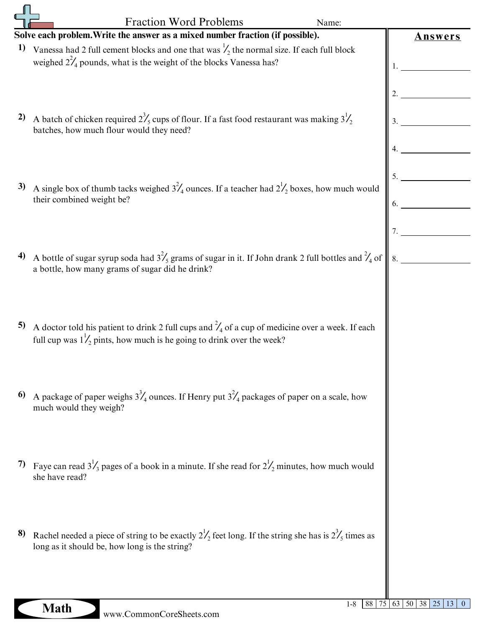|    | <b>Fraction Word Problems</b><br>Name:<br>Solve each problem. Write the answer as a mixed number fraction (if possible).                                                                      |         |
|----|-----------------------------------------------------------------------------------------------------------------------------------------------------------------------------------------------|---------|
| 1) | Vanessa had 2 full cement blocks and one that was $\frac{1}{2}$ the normal size. If each full block<br>weighed $2^2/4$ pounds, what is the weight of the blocks Vanessa has?                  | Answers |
| 2) | A batch of chicken required $2^3$ <sub>s</sub> cups of flour. If a fast food restaurant was making $3^1$ <sub>2</sub><br>batches, how much flour would they need?                             | 3.      |
| 3) | A single box of thumb tacks weighed $3^2/4$ ounces. If a teacher had $2^1/2$ boxes, how much would<br>their combined weight be?                                                               |         |
| 4) | A bottle of sugar syrup soda had $3\frac{2}{5}$ grams of sugar in it. If John drank 2 full bottles and $\frac{2}{4}$ of<br>a bottle, how many grams of sugar did he drink?                    |         |
| 5) | A doctor told his patient to drink 2 full cups and $\frac{2}{4}$ of a cup of medicine over a week. If each<br>full cup was $1\frac{1}{2}$ pints, how much is he going to drink over the week? |         |
| 6) | A package of paper weighs $3^3/4$ ounces. If Henry put $3^2/4$ packages of paper on a scale, how<br>much would they weigh?                                                                    |         |
| 7) | Faye can read $3\frac{1}{3}$ pages of a book in a minute. If she read for $2\frac{1}{2}$ minutes, how much would<br>she have read?                                                            |         |
| 8) | Rachel needed a piece of string to be exactly $2^1/2$ feet long. If the string she has is $2^3/5$ times as<br>long as it should be, how long is the string?                                   |         |
|    |                                                                                                                                                                                               |         |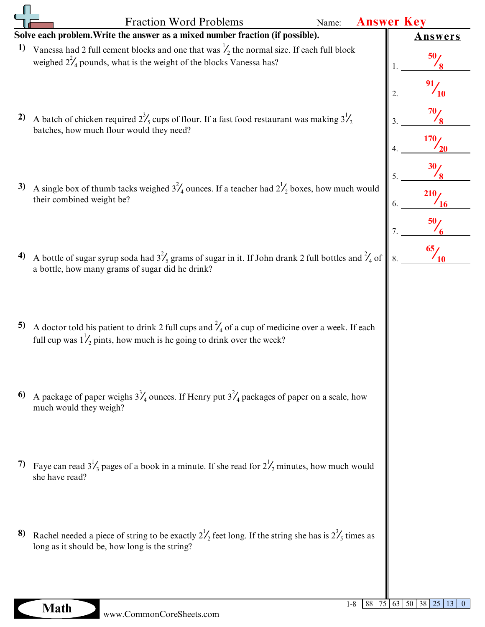|    | <b>Fraction Word Problems</b><br>Name:<br>Solve each problem. Write the answer as a mixed number fraction (if possible).                                                                      | <b>Answer Key</b> |
|----|-----------------------------------------------------------------------------------------------------------------------------------------------------------------------------------------------|-------------------|
| 1) | Vanessa had 2 full cement blocks and one that was $\frac{1}{2}$ the normal size. If each full block<br>weighed $2^2/4$ pounds, what is the weight of the blocks Vanessa has?                  | Answers           |
| 2) | A batch of chicken required $2^3$ / <sub>5</sub> cups of flour. If a fast food restaurant was making $3^1$ / <sub>2</sub><br>batches, how much flour would they need?                         | 170               |
| 3) | A single box of thumb tacks weighed $3^{2}/_{4}$ ounces. If a teacher had $2^{1}/_{2}$ boxes, how much would<br>their combined weight be?                                                     | 210               |
| 4) | A bottle of sugar syrup soda had $3\frac{2}{5}$ grams of sugar in it. If John drank 2 full bottles and $\frac{2}{4}$ of<br>a bottle, how many grams of sugar did he drink?                    | $\frac{65}{10}$   |
| 5) | A doctor told his patient to drink 2 full cups and $\frac{2}{4}$ of a cup of medicine over a week. If each<br>full cup was $1\frac{1}{2}$ pints, how much is he going to drink over the week? |                   |
| 6) | A package of paper weighs $3^3/4$ ounces. If Henry put $3^2/4$ packages of paper on a scale, how<br>much would they weigh?                                                                    |                   |
| 7) | Faye can read $3\frac{1}{3}$ pages of a book in a minute. If she read for $2\frac{1}{2}$ minutes, how much would<br>she have read?                                                            |                   |
| 8) | Rachel needed a piece of string to be exactly $2^1/2$ feet long. If the string she has is $2^3/5$ times as<br>long as it should be, how long is the string?                                   |                   |
|    |                                                                                                                                                                                               |                   |